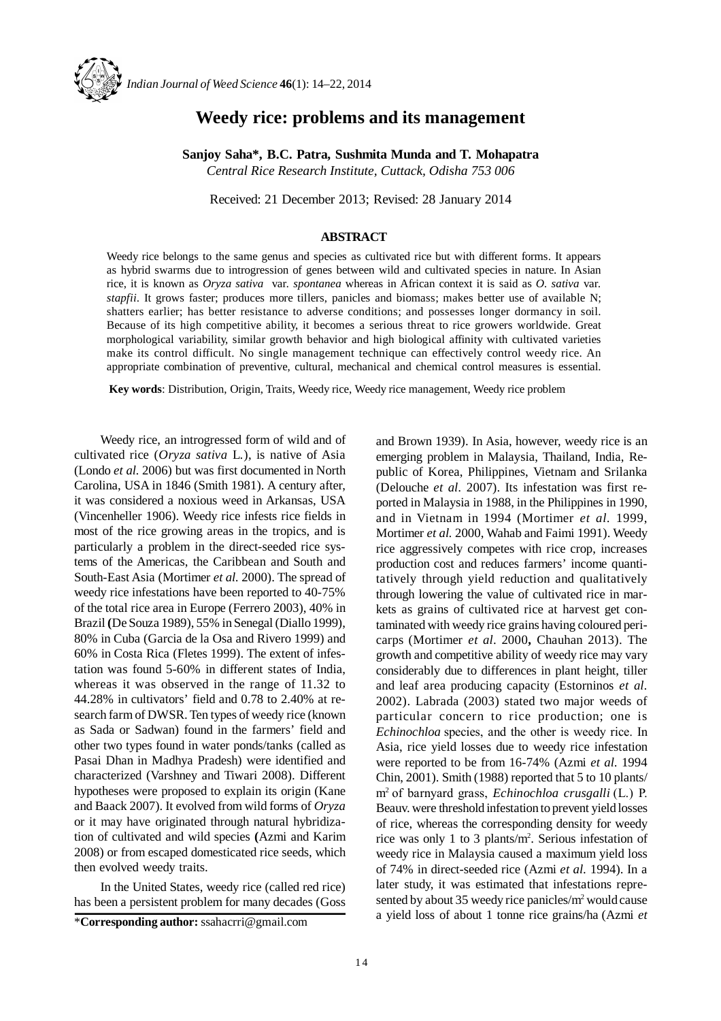

# **Weedy rice: problems and its management**

**Sanjoy Saha\*, B.C. Patra, Sushmita Munda and T. Mohapatra** *Central Rice Research Institute, Cuttack, Odisha 753 006*

Received: 21 December 2013; Revised: 28 January 2014

## **ABSTRACT**

Weedy rice belongs to the same genus and species as cultivated rice but with different forms. It appears as hybrid swarms due to introgression of genes between wild and cultivated species in nature. In Asian rice, it is known as *Oryza sativa* var*. spontanea* whereas in African context it is said as *O. sativa* var*. stapfii*. It grows faster; produces more tillers, panicles and biomass; makes better use of available N; shatters earlier; has better resistance to adverse conditions; and possesses longer dormancy in soil. Because of its high competitive ability, it becomes a serious threat to rice growers worldwide. Great morphological variability, similar growth behavior and high biological affinity with cultivated varieties make its control difficult. No single management technique can effectively control weedy rice. An appropriate combination of preventive, cultural, mechanical and chemical control measures is essential.

**Key words**: Distribution, Origin, Traits, Weedy rice, Weedy rice management, Weedy rice problem

Weedy rice, an introgressed form of wild and of cultivated rice (*Oryza sativa* L*.*), is native of Asia (Londo *et al.* 2006) but was first documented in North Carolina, USA in 1846 (Smith 1981). A century after, it was considered a noxious weed in Arkansas, USA (Vincenheller 1906). Weedy rice infests rice fields in most of the rice growing areas in the tropics, and is particularly a problem in the direct-seeded rice systems of the Americas, the Caribbean and South and South-East Asia (Mortimer *et al.* 2000). The spread of weedy rice infestations have been reported to 40-75% of the total rice area in Europe (Ferrero 2003), 40% in Brazil **(**De Souza 1989), 55% in Senegal (Diallo 1999), 80% in Cuba (Garcia de la Osa and Rivero 1999) and 60% in Costa Rica (Fletes 1999). The extent of infestation was found 5-60% in different states of India, whereas it was observed in the range of 11.32 to 44.28% in cultivators' field and 0.78 to 2.40% at research farm of DWSR. Ten types of weedy rice (known as Sada or Sadwan) found in the farmers' field and other two types found in water ponds/tanks (called as Pasai Dhan in Madhya Pradesh) were identified and characterized (Varshney and Tiwari 2008). Different hypotheses were proposed to explain its origin (Kane and Baack 2007). It evolved from wild forms of *Oryza* or it may have originated through natural hybridization of cultivated and wild species **(**Azmi and Karim 2008) or from escaped domesticated rice seeds, which then evolved weedy traits.

In the United States, weedy rice (called red rice) has been a persistent problem for many decades (Goss

and Brown 1939). In Asia, however, weedy rice is an emerging problem in Malaysia, Thailand, India, Republic of Korea, Philippines, Vietnam and Srilanka (Delouche *et al.* 2007). Its infestation was first reported in Malaysia in 1988, in the Philippines in 1990, and in Vietnam in 1994 (Mortimer *et al.* 1999, Mortimer *et al.* 2000, Wahab and Faimi 1991). Weedy rice aggressively competes with rice crop, increases production cost and reduces farmers' income quantitatively through yield reduction and qualitatively through lowering the value of cultivated rice in markets as grains of cultivated rice at harvest get contaminated with weedy rice grains having coloured pericarps (Mortimer *et al*. 2000**,** Chauhan 2013). The growth and competitive ability of weedy rice may vary considerably due to differences in plant height, tiller and leaf area producing capacity (Estorninos *et al.* 2002). Labrada (2003) stated two major weeds of particular concern to rice production; one is *Echinochloa* species, and the other is weedy rice. In Asia, rice yield losses due to weedy rice infestation were reported to be from 16-74% (Azmi *et al*. 1994 Chin, 2001). Smith (1988) reported that 5 to 10 plants/ m2 of barnyard grass, *Echinochloa crusgalli* (L.) P. Beauv. were threshold infestation to prevent yield losses of rice, whereas the corresponding density for weedy rice was only 1 to 3 plants/m<sup>2</sup> . Serious infestation of weedy rice in Malaysia caused a maximum yield loss of 74% in direct-seeded rice (Azmi *et al*. 1994). In a later study, it was estimated that infestations represented by about 35 weedy rice panicles/m<sup>2</sup> would cause a yield loss of about 1 tonne rice grains/ha (Azmi *et* \***Corresponding author:** ssahacrri@gmail.com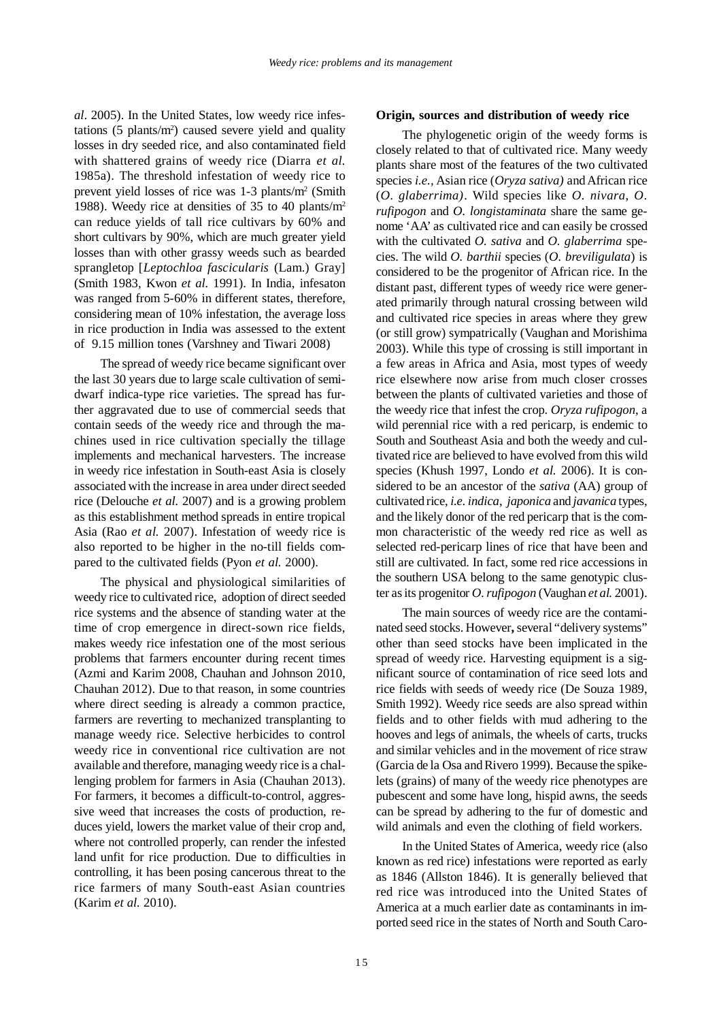*al*. 2005). In the United States, low weedy rice infestations  $(5 \text{ plants/m}^2)$  caused severe yield and quality losses in dry seeded rice, and also contaminated field with shattered grains of weedy rice (Diarra *et al.* 1985a). The threshold infestation of weedy rice to prevent yield losses of rice was 1-3 plants/m<sup>2</sup> (Smith 1988). Weedy rice at densities of 35 to 40 plants/m<sup>2</sup> can reduce yields of tall rice cultivars by 60% and short cultivars by 90%, which are much greater yield losses than with other grassy weeds such as bearded sprangletop [*Leptochloa fascicularis* (Lam.) Gray] (Smith 1983, Kwon *et al.* 1991). In India, infesaton was ranged from 5-60% in different states, therefore, considering mean of 10% infestation, the average loss in rice production in India was assessed to the extent of 9.15 million tones (Varshney and Tiwari 2008)

The spread of weedy rice became significant over the last 30 years due to large scale cultivation of semidwarf indica-type rice varieties. The spread has further aggravated due to use of commercial seeds that contain seeds of the weedy rice and through the machines used in rice cultivation specially the tillage implements and mechanical harvesters. The increase in weedy rice infestation in South-east Asia is closely associated with the increase in area under direct seeded rice (Delouche *et al.* 2007) and is a growing problem as this establishment method spreads in entire tropical Asia (Rao *et al.* 2007). Infestation of weedy rice is also reported to be higher in the no-till fields compared to the cultivated fields (Pyon *et al.* 2000).

The physical and physiological similarities of weedy rice to cultivated rice, adoption of direct seeded rice systems and the absence of standing water at the time of crop emergence in direct-sown rice fields, makes weedy rice infestation one of the most serious problems that farmers encounter during recent times (Azmi and Karim 2008, Chauhan and Johnson 2010, Chauhan 2012). Due to that reason, in some countries where direct seeding is already a common practice, farmers are reverting to mechanized transplanting to manage weedy rice. Selective herbicides to control weedy rice in conventional rice cultivation are not available and therefore, managing weedy rice is a challenging problem for farmers in Asia (Chauhan 2013). For farmers, it becomes a difficult-to-control, aggressive weed that increases the costs of production, reduces yield, lowers the market value of their crop and, where not controlled properly, can render the infested land unfit for rice production. Due to difficulties in controlling, it has been posing cancerous threat to the rice farmers of many South-east Asian countries (Karim *et al.* 2010).

## **Origin, sources and distribution of weedy rice**

The phylogenetic origin of the weedy forms is closely related to that of cultivated rice. Many weedy plants share most of the features of the two cultivated species *i.e.,* Asian rice (*Oryza sativa)* and African rice (*O. glaberrima)*. Wild species like *O. nivara*, *O. rufipogon* and *O. longistaminata* share the same genome 'AA' as cultivated rice and can easily be crossed with the cultivated *O. sativa* and *O. glaberrima* species. The wild *O. barthii* species (*O. breviligulata*) is considered to be the progenitor of African rice. In the distant past, different types of weedy rice were generated primarily through natural crossing between wild and cultivated rice species in areas where they grew (or still grow) sympatrically (Vaughan and Morishima 2003). While this type of crossing is still important in a few areas in Africa and Asia, most types of weedy rice elsewhere now arise from much closer crosses between the plants of cultivated varieties and those of the weedy rice that infest the crop. *Oryza rufipogon*, a wild perennial rice with a red pericarp, is endemic to South and Southeast Asia and both the weedy and cultivated rice are believed to have evolved from this wild species (Khush 1997, Londo *et al.* 2006). It is considered to be an ancestor of the *sativa* (AA) group of cultivated rice, *i.e. indica*, *japonica* and *javanica* types, and the likely donor of the red pericarp that is the common characteristic of the weedy red rice as well as selected red-pericarp lines of rice that have been and still are cultivated. In fact, some red rice accessions in the southern USA belong to the same genotypic cluster as its progenitor *O. rufipogon* (Vaughan *et al.* 2001).

The main sources of weedy rice are the contaminated seed stocks. However**,** several "delivery systems" other than seed stocks have been implicated in the spread of weedy rice. Harvesting equipment is a significant source of contamination of rice seed lots and rice fields with seeds of weedy rice (De Souza 1989, Smith 1992). Weedy rice seeds are also spread within fields and to other fields with mud adhering to the hooves and legs of animals, the wheels of carts, trucks and similar vehicles and in the movement of rice straw (Garcia de la Osa and Rivero 1999). Because the spikelets (grains) of many of the weedy rice phenotypes are pubescent and some have long, hispid awns, the seeds can be spread by adhering to the fur of domestic and wild animals and even the clothing of field workers.

In the United States of America, weedy rice (also known as red rice) infestations were reported as early as 1846 (Allston 1846). It is generally believed that red rice was introduced into the United States of America at a much earlier date as contaminants in imported seed rice in the states of North and South Caro-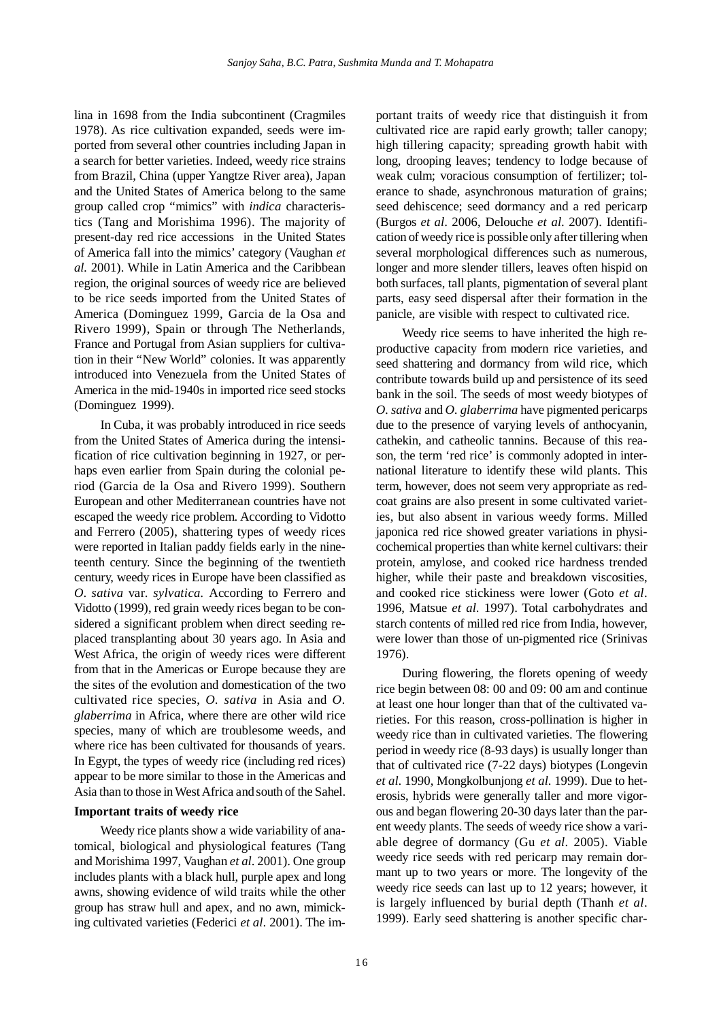lina in 1698 from the India subcontinent (Cragmiles 1978). As rice cultivation expanded, seeds were imported from several other countries including Japan in a search for better varieties. Indeed, weedy rice strains from Brazil, China (upper Yangtze River area), Japan and the United States of America belong to the same group called crop "mimics" with *indica* characteristics (Tang and Morishima 1996). The majority of present-day red rice accessions in the United States of America fall into the mimics' category (Vaughan *et al.* 2001). While in Latin America and the Caribbean region, the original sources of weedy rice are believed to be rice seeds imported from the United States of America (Dominguez 1999, Garcia de la Osa and Rivero 1999), Spain or through The Netherlands, France and Portugal from Asian suppliers for cultivation in their "New World" colonies. It was apparently introduced into Venezuela from the United States of America in the mid-1940s in imported rice seed stocks (Dominguez 1999).

In Cuba, it was probably introduced in rice seeds from the United States of America during the intensification of rice cultivation beginning in 1927, or perhaps even earlier from Spain during the colonial period (Garcia de la Osa and Rivero 1999). Southern European and other Mediterranean countries have not escaped the weedy rice problem. According to Vidotto and Ferrero (2005), shattering types of weedy rices were reported in Italian paddy fields early in the nineteenth century. Since the beginning of the twentieth century, weedy rices in Europe have been classified as *O*. *sativa* var*. sylvatica.* According to Ferrero and Vidotto (1999), red grain weedy rices began to be considered a significant problem when direct seeding replaced transplanting about 30 years ago. In Asia and West Africa, the origin of weedy rices were different from that in the Americas or Europe because they are the sites of the evolution and domestication of the two cultivated rice species, *O. sativa* in Asia and *O. glaberrima* in Africa, where there are other wild rice species, many of which are troublesome weeds, and where rice has been cultivated for thousands of years. In Egypt, the types of weedy rice (including red rices) appear to be more similar to those in the Americas and Asia than to those in West Africa and south of the Sahel.

#### **Important traits of weedy rice**

Weedy rice plants show a wide variability of anatomical, biological and physiological features (Tang and Morishima 1997, Vaughan *et al*. 2001). One group includes plants with a black hull, purple apex and long awns, showing evidence of wild traits while the other group has straw hull and apex, and no awn, mimicking cultivated varieties (Federici *et al*. 2001). The important traits of weedy rice that distinguish it from cultivated rice are rapid early growth; taller canopy; high tillering capacity; spreading growth habit with long, drooping leaves; tendency to lodge because of weak culm; voracious consumption of fertilizer; tolerance to shade, asynchronous maturation of grains; seed dehiscence; seed dormancy and a red pericarp (Burgos *et al*. 2006, Delouche *et al*. 2007). Identification of weedy rice is possible only after tillering when several morphological differences such as numerous, longer and more slender tillers, leaves often hispid on both surfaces, tall plants, pigmentation of several plant parts, easy seed dispersal after their formation in the panicle, are visible with respect to cultivated rice.

Weedy rice seems to have inherited the high reproductive capacity from modern rice varieties, and seed shattering and dormancy from wild rice, which contribute towards build up and persistence of its seed bank in the soil. The seeds of most weedy biotypes of *O. sativa* and *O. glaberrima* have pigmented pericarps due to the presence of varying levels of anthocyanin, cathekin, and catheolic tannins. Because of this reason, the term 'red rice' is commonly adopted in international literature to identify these wild plants. This term, however, does not seem very appropriate as redcoat grains are also present in some cultivated varieties, but also absent in various weedy forms. Milled japonica red rice showed greater variations in physicochemical properties than white kernel cultivars: their protein, amylose, and cooked rice hardness trended higher, while their paste and breakdown viscosities, and cooked rice stickiness were lower (Goto *et al*. 1996, Matsue *et al*. 1997). Total carbohydrates and starch contents of milled red rice from India, however, were lower than those of un-pigmented rice (Srinivas 1976).

During flowering, the florets opening of weedy rice begin between 08: 00 and 09: 00 am and continue at least one hour longer than that of the cultivated varieties. For this reason, cross-pollination is higher in weedy rice than in cultivated varieties. The flowering period in weedy rice (8-93 days) is usually longer than that of cultivated rice (7-22 days) biotypes (Longevin *et al*. 1990, Mongkolbunjong *et al*. 1999). Due to heterosis, hybrids were generally taller and more vigorous and began flowering 20-30 days later than the parent weedy plants. The seeds of weedy rice show a variable degree of dormancy (Gu *et al*. 2005). Viable weedy rice seeds with red pericarp may remain dormant up to two years or more. The longevity of the weedy rice seeds can last up to 12 years; however, it is largely influenced by burial depth (Thanh *et al*. 1999). Early seed shattering is another specific char-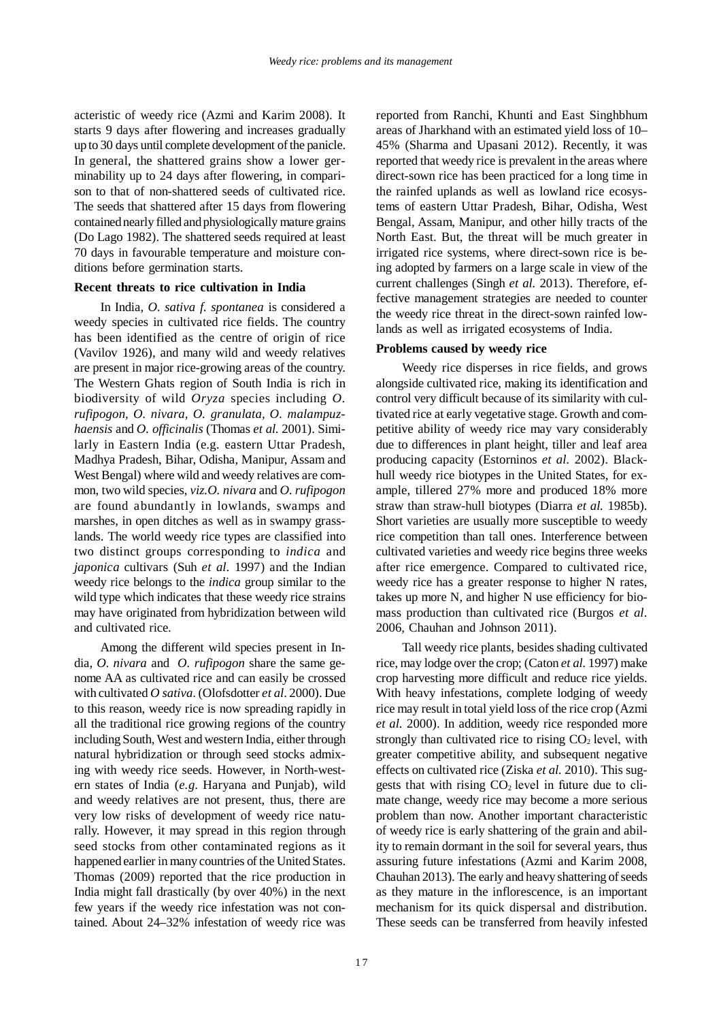acteristic of weedy rice (Azmi and Karim 2008). It starts 9 days after flowering and increases gradually up to 30 days until complete development of the panicle. In general, the shattered grains show a lower germinability up to 24 days after flowering, in comparison to that of non-shattered seeds of cultivated rice. The seeds that shattered after 15 days from flowering contained nearly filled and physiologically mature grains (Do Lago 1982). The shattered seeds required at least 70 days in favourable temperature and moisture conditions before germination starts.

#### **Recent threats to rice cultivation in India**

In India, *O. sativa f. spontanea* is considered a weedy species in cultivated rice fields. The country has been identified as the centre of origin of rice (Vavilov 1926), and many wild and weedy relatives are present in major rice-growing areas of the country. The Western Ghats region of South India is rich in biodiversity of wild *Oryza* species including *O. rufipogon, O. nivara, O. granulata, O. malampuzhaensis* and *O. officinalis* (Thomas *et al.* 2001). Similarly in Eastern India (e.g. eastern Uttar Pradesh, Madhya Pradesh, Bihar, Odisha, Manipur, Assam and West Bengal) where wild and weedy relatives are common, two wild species, *viz.O. nivara* and *O. rufipogon* are found abundantly in lowlands, swamps and marshes, in open ditches as well as in swampy grasslands. The world weedy rice types are classified into two distinct groups corresponding to *indica* and *japonica* cultivars (Suh *et al*. 1997) and the Indian weedy rice belongs to the *indica* group similar to the wild type which indicates that these weedy rice strains may have originated from hybridization between wild and cultivated rice.

Among the different wild species present in India, *O. nivara* and *O. rufipogon* share the same genome AA as cultivated rice and can easily be crossed with cultivated *O sativa*. (Olofsdotter *et al*. 2000). Due to this reason, weedy rice is now spreading rapidly in all the traditional rice growing regions of the country including South, West and western India, either through natural hybridization or through seed stocks admixing with weedy rice seeds. However, in North-western states of India (*e.g*. Haryana and Punjab), wild and weedy relatives are not present, thus, there are very low risks of development of weedy rice naturally. However, it may spread in this region through seed stocks from other contaminated regions as it happened earlier in many countries of the United States. Thomas (2009) reported that the rice production in India might fall drastically (by over 40%) in the next few years if the weedy rice infestation was not contained. About 24–32% infestation of weedy rice was

reported from Ranchi, Khunti and East Singhbhum areas of Jharkhand with an estimated yield loss of 10– 45% (Sharma and Upasani 2012). Recently, it was reported that weedy rice is prevalent in the areas where direct-sown rice has been practiced for a long time in the rainfed uplands as well as lowland rice ecosystems of eastern Uttar Pradesh, Bihar, Odisha, West Bengal, Assam, Manipur, and other hilly tracts of the North East. But, the threat will be much greater in irrigated rice systems, where direct-sown rice is being adopted by farmers on a large scale in view of the current challenges (Singh *et al.* 2013). Therefore, effective management strategies are needed to counter the weedy rice threat in the direct-sown rainfed lowlands as well as irrigated ecosystems of India.

### **Problems caused by weedy rice**

Weedy rice disperses in rice fields, and grows alongside cultivated rice, making its identification and control very difficult because of its similarity with cultivated rice at early vegetative stage. Growth and competitive ability of weedy rice may vary considerably due to differences in plant height, tiller and leaf area producing capacity (Estorninos *et al.* 2002). Blackhull weedy rice biotypes in the United States, for example, tillered 27% more and produced 18% more straw than straw-hull biotypes (Diarra *et al.* 1985b). Short varieties are usually more susceptible to weedy rice competition than tall ones. Interference between cultivated varieties and weedy rice begins three weeks after rice emergence. Compared to cultivated rice, weedy rice has a greater response to higher N rates, takes up more N, and higher N use efficiency for biomass production than cultivated rice (Burgos *et al.* 2006, Chauhan and Johnson 2011).

Tall weedy rice plants, besides shading cultivated rice, may lodge over the crop; (Caton *et al.* 1997) make crop harvesting more difficult and reduce rice yields. With heavy infestations, complete lodging of weedy rice may result in total yield loss of the rice crop (Azmi *et al.* 2000). In addition, weedy rice responded more strongly than cultivated rice to rising  $CO<sub>2</sub>$  level, with greater competitive ability, and subsequent negative effects on cultivated rice (Ziska *et al.* 2010). This suggests that with rising  $CO<sub>2</sub>$  level in future due to climate change, weedy rice may become a more serious problem than now. Another important characteristic of weedy rice is early shattering of the grain and ability to remain dormant in the soil for several years, thus assuring future infestations (Azmi and Karim 2008, Chauhan 2013). The early and heavy shattering of seeds as they mature in the inflorescence, is an important mechanism for its quick dispersal and distribution. These seeds can be transferred from heavily infested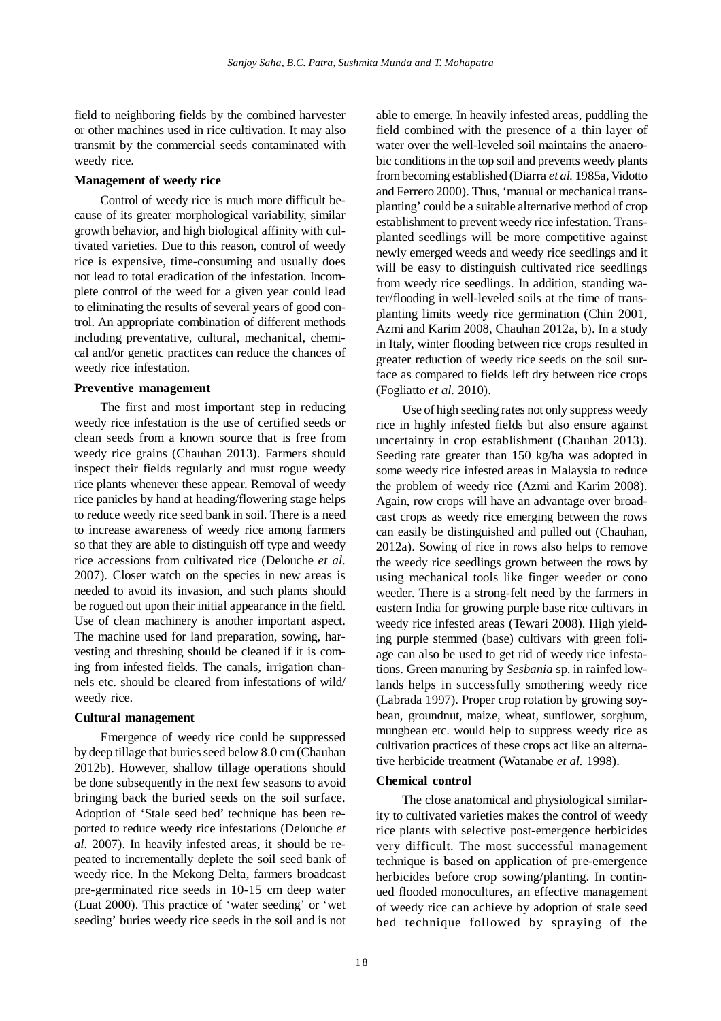field to neighboring fields by the combined harvester or other machines used in rice cultivation. It may also transmit by the commercial seeds contaminated with weedy rice.

## **Management of weedy rice**

Control of weedy rice is much more difficult because of its greater morphological variability, similar growth behavior, and high biological affinity with cultivated varieties. Due to this reason, control of weedy rice is expensive, time-consuming and usually does not lead to total eradication of the infestation. Incomplete control of the weed for a given year could lead to eliminating the results of several years of good control. An appropriate combination of different methods including preventative, cultural, mechanical, chemical and/or genetic practices can reduce the chances of weedy rice infestation.

## **Preventive management**

The first and most important step in reducing weedy rice infestation is the use of certified seeds or clean seeds from a known source that is free from weedy rice grains (Chauhan 2013). Farmers should inspect their fields regularly and must rogue weedy rice plants whenever these appear. Removal of weedy rice panicles by hand at heading/flowering stage helps to reduce weedy rice seed bank in soil. There is a need to increase awareness of weedy rice among farmers so that they are able to distinguish off type and weedy rice accessions from cultivated rice (Delouche *et al*. 2007). Closer watch on the species in new areas is needed to avoid its invasion, and such plants should be rogued out upon their initial appearance in the field. Use of clean machinery is another important aspect. The machine used for land preparation, sowing, harvesting and threshing should be cleaned if it is coming from infested fields. The canals, irrigation channels etc. should be cleared from infestations of wild/ weedy rice.

## **Cultural management**

Emergence of weedy rice could be suppressed by deep tillage that buries seed below 8.0 cm (Chauhan 2012b). However, shallow tillage operations should be done subsequently in the next few seasons to avoid bringing back the buried seeds on the soil surface. Adoption of 'Stale seed bed' technique has been reported to reduce weedy rice infestations (Delouche *et al*. 2007). In heavily infested areas, it should be repeated to incrementally deplete the soil seed bank of weedy rice. In the Mekong Delta, farmers broadcast pre-germinated rice seeds in 10-15 cm deep water (Luat 2000). This practice of 'water seeding' or 'wet seeding' buries weedy rice seeds in the soil and is not

able to emerge. In heavily infested areas, puddling the field combined with the presence of a thin layer of water over the well-leveled soil maintains the anaerobic conditions in the top soil and prevents weedy plants from becoming established (Diarra *et al.* 1985a, Vidotto and Ferrero 2000). Thus, 'manual or mechanical transplanting' could be a suitable alternative method of crop establishment to prevent weedy rice infestation. Transplanted seedlings will be more competitive against newly emerged weeds and weedy rice seedlings and it will be easy to distinguish cultivated rice seedlings from weedy rice seedlings. In addition, standing water/flooding in well-leveled soils at the time of transplanting limits weedy rice germination (Chin 2001, Azmi and Karim 2008, Chauhan 2012a, b). In a study in Italy, winter flooding between rice crops resulted in greater reduction of weedy rice seeds on the soil surface as compared to fields left dry between rice crops (Fogliatto *et al.* 2010).

Use of high seeding rates not only suppress weedy rice in highly infested fields but also ensure against uncertainty in crop establishment (Chauhan 2013). Seeding rate greater than 150 kg/ha was adopted in some weedy rice infested areas in Malaysia to reduce the problem of weedy rice (Azmi and Karim 2008). Again, row crops will have an advantage over broadcast crops as weedy rice emerging between the rows can easily be distinguished and pulled out (Chauhan, 2012a). Sowing of rice in rows also helps to remove the weedy rice seedlings grown between the rows by using mechanical tools like finger weeder or cono weeder. There is a strong-felt need by the farmers in eastern India for growing purple base rice cultivars in weedy rice infested areas (Tewari 2008). High yielding purple stemmed (base) cultivars with green foliage can also be used to get rid of weedy rice infestations. Green manuring by *Sesbania* sp. in rainfed lowlands helps in successfully smothering weedy rice (Labrada 1997). Proper crop rotation by growing soybean, groundnut, maize, wheat, sunflower, sorghum, mungbean etc. would help to suppress weedy rice as cultivation practices of these crops act like an alternative herbicide treatment (Watanabe *et al.* 1998).

## **Chemical control**

The close anatomical and physiological similarity to cultivated varieties makes the control of weedy rice plants with selective post-emergence herbicides very difficult. The most successful management technique is based on application of pre-emergence herbicides before crop sowing/planting. In continued flooded monocultures, an effective management of weedy rice can achieve by adoption of stale seed bed technique followed by spraying of the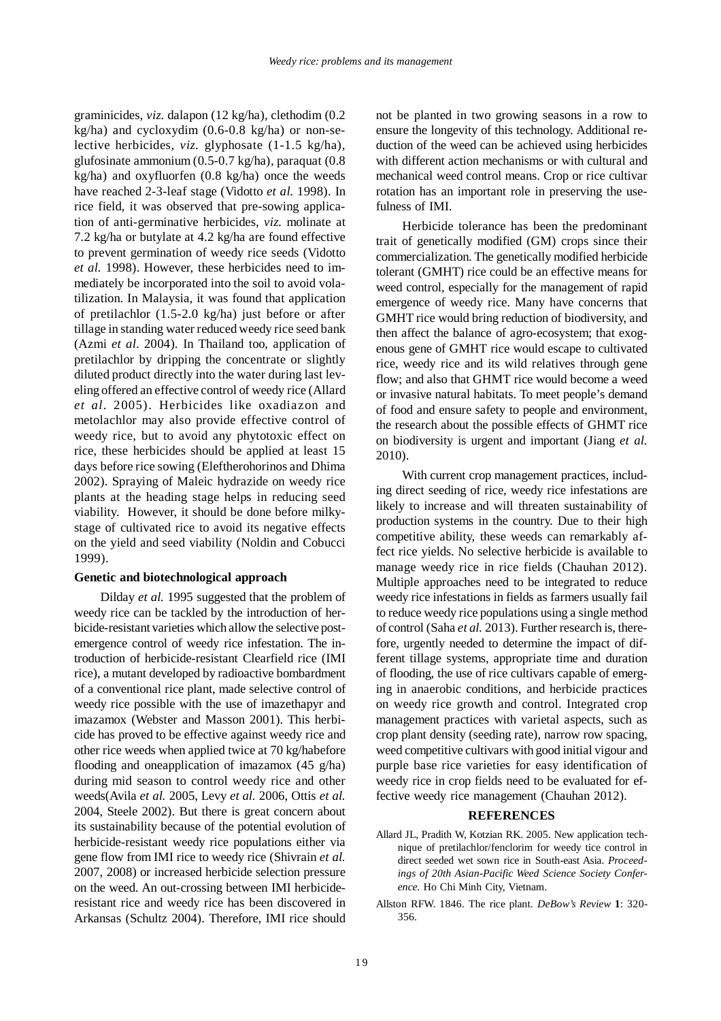graminicides, *viz.* dalapon (12 kg/ha), clethodim (0.2 kg/ha) and cycloxydim (0.6-0.8 kg/ha) or non-selective herbicides, *viz.* glyphosate (1-1.5 kg/ha), glufosinate ammonium (0.5-0.7 kg/ha), paraquat (0.8 kg/ha) and oxyfluorfen (0.8 kg/ha) once the weeds have reached 2-3-leaf stage (Vidotto *et al.* 1998). In rice field, it was observed that pre-sowing application of anti-germinative herbicides, *viz.* molinate at 7.2 kg/ha or butylate at 4.2 kg/ha are found effective to prevent germination of weedy rice seeds (Vidotto *et al.* 1998). However, these herbicides need to immediately be incorporated into the soil to avoid volatilization. In Malaysia, it was found that application of pretilachlor (1.5-2.0 kg/ha) just before or after tillage in standing water reduced weedy rice seed bank (Azmi *et al*. 2004). In Thailand too, application of pretilachlor by dripping the concentrate or slightly diluted product directly into the water during last leveling offered an effective control of weedy rice (Allard *et al*. 2005). Herbicides like oxadiazon and metolachlor may also provide effective control of weedy rice, but to avoid any phytotoxic effect on rice, these herbicides should be applied at least 15 days before rice sowing (Eleftherohorinos and Dhima 2002). Spraying of Maleic hydrazide on weedy rice plants at the heading stage helps in reducing seed viability. However, it should be done before milkystage of cultivated rice to avoid its negative effects on the yield and seed viability (Noldin and Cobucci 1999).

## **Genetic and biotechnological approach**

Dilday *et al.* 1995 suggested that the problem of weedy rice can be tackled by the introduction of herbicide-resistant varieties which allow the selective postemergence control of weedy rice infestation. The introduction of herbicide-resistant Clearfield rice (IMI rice), a mutant developed by radioactive bombardment of a conventional rice plant, made selective control of weedy rice possible with the use of imazethapyr and imazamox (Webster and Masson 2001). This herbicide has proved to be effective against weedy rice and other rice weeds when applied twice at 70 kg/habefore flooding and oneapplication of imazamox (45 g/ha) during mid season to control weedy rice and other weeds(Avila *et al.* 2005, Levy *et al.* 2006, Ottis *et al.* 2004, Steele 2002). But there is great concern about its sustainability because of the potential evolution of herbicide-resistant weedy rice populations either via gene flow from IMI rice to weedy rice (Shivrain *et al.* 2007, 2008) or increased herbicide selection pressure on the weed. An out-crossing between IMI herbicideresistant rice and weedy rice has been discovered in Arkansas (Schultz 2004). Therefore, IMI rice should

not be planted in two growing seasons in a row to ensure the longevity of this technology. Additional reduction of the weed can be achieved using herbicides with different action mechanisms or with cultural and mechanical weed control means. Crop or rice cultivar rotation has an important role in preserving the usefulness of IMI.

Herbicide tolerance has been the predominant trait of genetically modified (GM) crops since their commercialization. The genetically modified herbicide tolerant (GMHT) rice could be an effective means for weed control, especially for the management of rapid emergence of weedy rice. Many have concerns that GMHT rice would bring reduction of biodiversity, and then affect the balance of agro-ecosystem; that exogenous gene of GMHT rice would escape to cultivated rice, weedy rice and its wild relatives through gene flow; and also that GHMT rice would become a weed or invasive natural habitats. To meet people's demand of food and ensure safety to people and environment, the research about the possible effects of GHMT rice on biodiversity is urgent and important (Jiang *et al.* 2010).

With current crop management practices, including direct seeding of rice, weedy rice infestations are likely to increase and will threaten sustainability of production systems in the country. Due to their high competitive ability, these weeds can remarkably affect rice yields. No selective herbicide is available to manage weedy rice in rice fields (Chauhan 2012). Multiple approaches need to be integrated to reduce weedy rice infestations in fields as farmers usually fail to reduce weedy rice populations using a single method of control (Saha *et al.* 2013). Further research is, therefore, urgently needed to determine the impact of different tillage systems, appropriate time and duration of flooding, the use of rice cultivars capable of emerging in anaerobic conditions, and herbicide practices on weedy rice growth and control. Integrated crop management practices with varietal aspects, such as crop plant density (seeding rate), narrow row spacing, weed competitive cultivars with good initial vigour and purple base rice varieties for easy identification of weedy rice in crop fields need to be evaluated for effective weedy rice management (Chauhan 2012).

#### **REFERENCES**

- Allard JL, Pradith W, Kotzian RK. 2005. New application technique of pretilachlor/fenclorim for weedy tice control in direct seeded wet sown rice in South-east Asia. *Proceedings of 20th Asian-Pacific Weed Science Society Conference.* Ho Chi Minh City, Vietnam.
- Allston RFW. 1846. The rice plant. *DeBow's Review* **1**: 320- 356.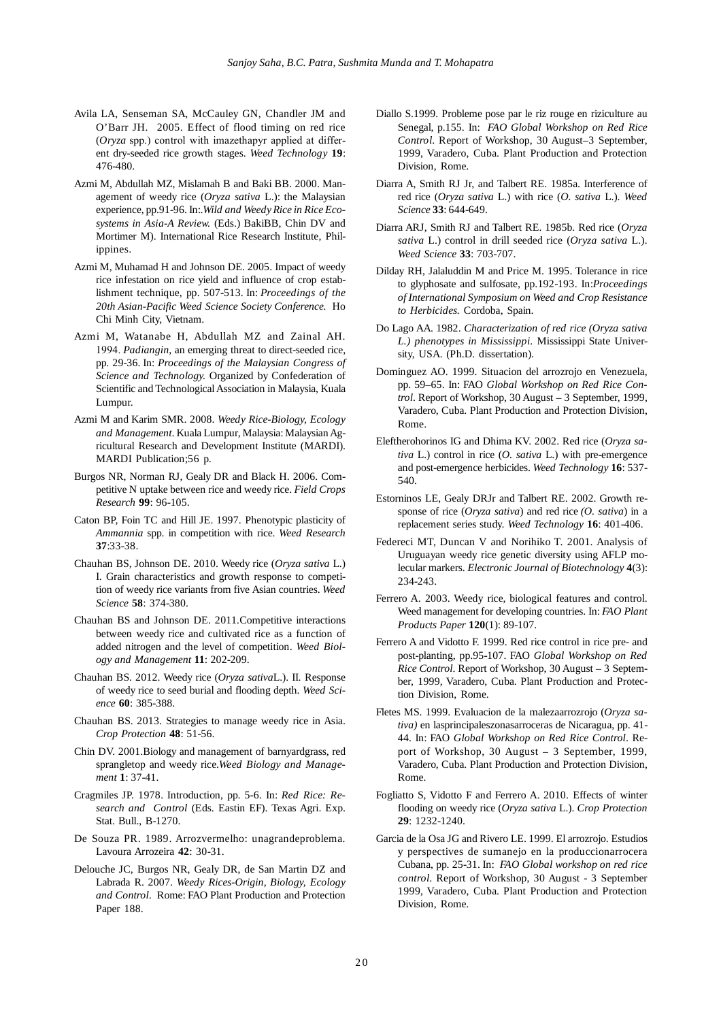- Avila LA, Senseman SA, McCauley GN, Chandler JM and O'Barr JH. 2005. Effect of flood timing on red rice (*Oryza* spp.) control with imazethapyr applied at different dry-seeded rice growth stages. *Weed Technology* **19**: 476-480.
- Azmi M, Abdullah MZ, Mislamah B and Baki BB. 2000. Management of weedy rice (*Oryza sativa* L.): the Malaysian experience, pp.91-96. In:.*Wild and Weedy Rice in Rice Ecosystems in Asia-A Review.* (Eds.) BakiBB, Chin DV and Mortimer M). International Rice Research Institute, Philippines.
- Azmi M, Muhamad H and Johnson DE. 2005. Impact of weedy rice infestation on rice yield and influence of crop establishment technique, pp. 507-513. In: *Proceedings of the 20th Asian-Pacific Weed Science Society Conference.* Ho Chi Minh City, Vietnam.
- Azmi M, Watanabe H, Abdullah MZ and Zainal AH. 1994. *Padiangin*, an emerging threat to direct-seeded rice, pp. 29-36. In: *Proceedings of the Malaysian Congress of Science and Technology.* Organized by Confederation of Scientific and Technological Association in Malaysia, Kuala Lumpur.
- Azmi M and Karim SMR. 2008. *Weedy Rice-Biology, Ecology and Management*. Kuala Lumpur, Malaysia: Malaysian Agricultural Research and Development Institute (MARDI). MARDI Publication;56 p.
- Burgos NR, Norman RJ, Gealy DR and Black H. 2006. Competitive N uptake between rice and weedy rice. *Field Crops Research* **99**: 96-105.
- Caton BP, Foin TC and Hill JE. 1997. Phenotypic plasticity of *Ammannia* spp. in competition with rice. *Weed Research* **37**:33-38.
- Chauhan BS, Johnson DE. 2010. Weedy rice (*Oryza sativa* L.) I. Grain characteristics and growth response to competition of weedy rice variants from five Asian countries. *Weed Science* **58**: 374-380.
- Chauhan BS and Johnson DE. 2011*.*Competitive interactions between weedy rice and cultivated rice as a function of added nitrogen and the level of competition. *Weed Biology and Management* **11**: 202-209.
- Chauhan BS. 2012. Weedy rice (*Oryza sativa*L.). II. Response of weedy rice to seed burial and flooding depth. *Weed Science* **60**: 385-388.
- Chauhan BS. 2013. Strategies to manage weedy rice in Asia. *Crop Protection* **48**: 51-56.
- Chin DV. 2001.Biology and management of barnyardgrass, red sprangletop and weedy rice.*Weed Biology and Management* **1**: 37-41.
- Cragmiles JP. 1978. Introduction, pp. 5-6. In: *Red Rice: Research and Control* (Eds. Eastin EF). Texas Agri. Exp. Stat. Bull., B-1270.
- De Souza PR. 1989. Arrozvermelho: unagrandeproblema. Lavoura Arrozeira **42**: 30-31.
- Delouche JC, Burgos NR, Gealy DR, de San Martin DZ and Labrada R. 2007. *Weedy Rices-Origin, Biology, Ecology and Control*. Rome: FAO Plant Production and Protection Paper 188.
- Diallo S.1999. Probleme pose par le riz rouge en riziculture au Senegal, p.155. In: *FAO Global Workshop on Red Rice Control*. Report of Workshop, 30 August–3 September, 1999, Varadero, Cuba. Plant Production and Protection Division, Rome.
- Diarra A, Smith RJ Jr, and Talbert RE. 1985a. Interference of red rice (*Oryza sativa* L.) with rice (*O. sativa* L.). *Weed Science* **33**: 644-649.
- Diarra ARJ, Smith RJ and Talbert RE. 1985b. Red rice (*Oryza sativa* L.) control in drill seeded rice (*Oryza sativa* L.). *Weed Science* **33**: 703-707.
- Dilday RH, Jalaluddin M and Price M. 1995. Tolerance in rice to glyphosate and sulfosate, pp.192-193. In:*Proceedings of International Symposium on Weed and Crop Resistance to Herbicides.* Cordoba, Spain.
- Do Lago AA. 1982. *Characterization of red rice (Oryza sativa L.) phenotypes in Mississippi*. Mississippi State University, USA. (Ph.D. dissertation).
- Dominguez AO. 1999. Situacion del arrozrojo en Venezuela, pp. 59–65. In: FAO *Global Workshop on Red Rice Control*. Report of Workshop, 30 August – 3 September, 1999, Varadero, Cuba. Plant Production and Protection Division, Rome.
- Eleftherohorinos IG and Dhima KV. 2002. Red rice (*Oryza sativa* L.) control in rice (*O. sativa* L.) with pre-emergence and post-emergence herbicides. *Weed Technology* **16**: 537- 540.
- Estorninos LE, Gealy DRJr and Talbert RE. 2002. Growth response of rice (*Oryza sativa*) and red rice *(O. sativa*) in a replacement series study. *Weed Technology* **16**: 401-406.
- Federeci MT, Duncan V and Norihiko T. 2001. Analysis of Uruguayan weedy rice genetic diversity using AFLP molecular markers. *Electronic Journal of Biotechnology* **4**(3): 234-243.
- Ferrero A. 2003. Weedy rice, biological features and control. Weed management for developing countries. In: *FAO Plant Products Paper* **120**(1): 89-107.
- Ferrero A and Vidotto F. 1999. Red rice control in rice pre- and post-planting, pp.95-107. FAO *Global Workshop on Red Rice Control*. Report of Workshop, 30 August – 3 September, 1999, Varadero, Cuba. Plant Production and Protection Division, Rome.
- Fletes MS. 1999. Evaluacion de la malezaarrozrojo (*Oryza sativa)* en lasprincipaleszonasarroceras de Nicaragua, pp. 41- 44. In: FAO *Global Workshop on Red Rice Control*. Report of Workshop, 30 August – 3 September, 1999, Varadero, Cuba. Plant Production and Protection Division, Rome.
- Fogliatto S, Vidotto F and Ferrero A. 2010. Effects of winter flooding on weedy rice (*Oryza sativa* L.). *Crop Protection* **29**: 1232-1240.
- Garcia de la Osa JG and Rivero LE. 1999. El arrozrojo. Estudios y perspectives de sumanejo en la produccionarrocera Cubana, pp. 25-31. In: *FAO Global workshop on red rice control*. Report of Workshop, 30 August - 3 September 1999, Varadero, Cuba. Plant Production and Protection Division, Rome.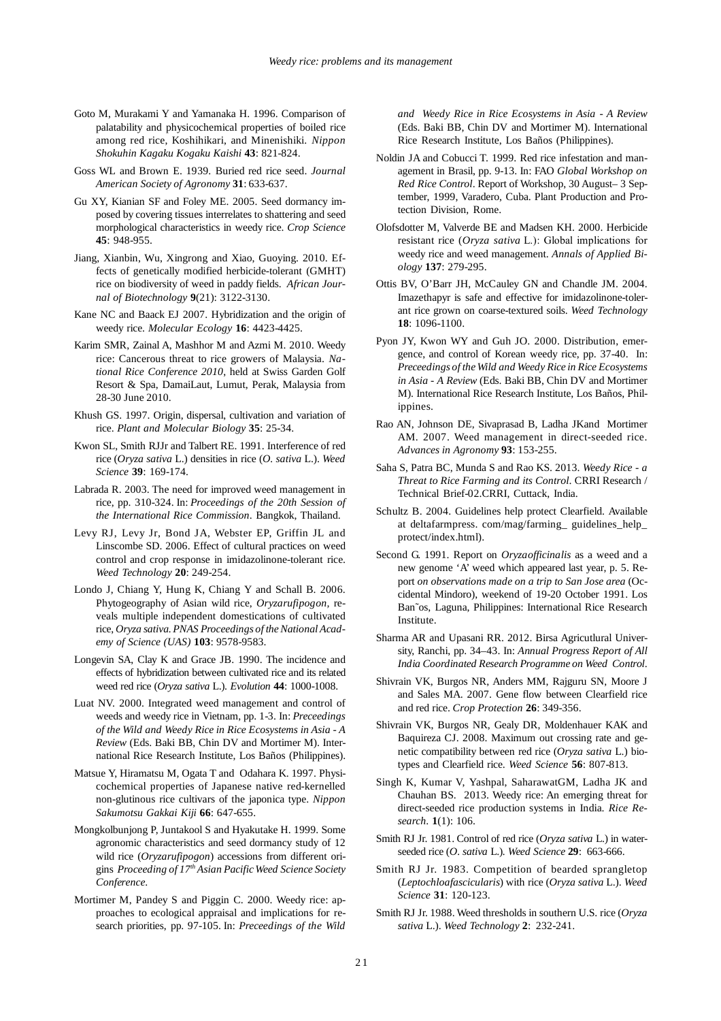- Goto M, Murakami Y and Yamanaka H. 1996. Comparison of palatability and physicochemical properties of boiled rice among red rice, Koshihikari, and Minenishiki. *Nippon Shokuhin Kagaku Kogaku Kaishi* **43**: 821-824.
- Goss WL and Brown E. 1939. Buried red rice seed. *Journal American Society of Agronomy* **31**: 633-637.
- Gu XY, Kianian SF and Foley ME. 2005. Seed dormancy imposed by covering tissues interrelates to shattering and seed morphological characteristics in weedy rice. *Crop Science* **45**: 948-955.
- Jiang, Xianbin, Wu, Xingrong and Xiao, Guoying. 2010. Effects of genetically modified herbicide-tolerant (GMHT) rice on biodiversity of weed in paddy fields. *African Journal of Biotechnology* **9**(21): 3122-3130.
- Kane NC and Baack EJ 2007. Hybridization and the origin of weedy rice. *Molecular Ecology* **16**: 4423-4425.
- Karim SMR, Zainal A, Mashhor M and Azmi M. 2010. Weedy rice: Cancerous threat to rice growers of Malaysia. *National Rice Conference 2010*, held at Swiss Garden Golf Resort & Spa, DamaiLaut, Lumut, Perak, Malaysia from 28-30 June 2010.
- Khush GS. 1997. Origin, dispersal, cultivation and variation of rice. *Plant and Molecular Biology* **35**: 25-34.
- Kwon SL, Smith RJJr and Talbert RE. 1991. Interference of red rice (*Oryza sativa* L.) densities in rice (*O. sativa* L.). *Weed Science* **39**: 169-174.
- Labrada R. 2003. The need for improved weed management in rice, pp. 310-324. In: *Proceedings of the 20th Session of the International Rice Commission*. Bangkok, Thailand.
- Levy RJ, Levy Jr, Bond JA, Webster EP, Griffin JL and Linscombe SD. 2006. Effect of cultural practices on weed control and crop response in imidazolinone-tolerant rice. *Weed Technology* **20**: 249-254.
- Londo J, Chiang Y, Hung K, Chiang Y and Schall B. 2006. Phytogeography of Asian wild rice, *Oryzarufipogon,* reveals multiple independent domestications of cultivated rice, *Oryza sativa. PNAS Proceedings of the National Academy of Science (UAS)* **103**: 9578-9583.
- Longevin SA, Clay K and Grace JB. 1990. The incidence and effects of hybridization between cultivated rice and its related weed red rice (*Oryza sativa* L.). *Evolution* **44**: 1000-1008.
- Luat NV. 2000. Integrated weed management and control of weeds and weedy rice in Vietnam, pp. 1-3. In: *Preceedings of the Wild and Weedy Rice in Rice Ecosystems in Asia - A Review* (Eds. Baki BB, Chin DV and Mortimer M). International Rice Research Institute, Los Baños (Philippines).
- Matsue Y, Hiramatsu M, Ogata T and Odahara K. 1997. Physicochemical properties of Japanese native red-kernelled non-glutinous rice cultivars of the japonica type. *Nippon Sakumotsu Gakkai Kiji* **66**: 647-655.
- Mongkolbunjong P, Juntakool S and Hyakutake H. 1999. Some agronomic characteristics and seed dormancy study of 12 wild rice (*Oryzarufipogon*) accessions from different origins *Proceeding of 17th Asian Pacific Weed Science Society Conference*.
- Mortimer M, Pandey S and Piggin C. 2000. Weedy rice: approaches to ecological appraisal and implications for research priorities, pp. 97-105. In: *Preceedings of the Wild*

*and Weedy Rice in Rice Ecosystems in Asia - A Review* (Eds. Baki BB, Chin DV and Mortimer M). International Rice Research Institute, Los Baños (Philippines).

- Noldin JA and Cobucci T. 1999. Red rice infestation and management in Brasil, pp. 9-13. In: FAO *Global Workshop on Red Rice Control*. Report of Workshop, 30 August– 3 September, 1999, Varadero, Cuba. Plant Production and Protection Division, Rome.
- Olofsdotter M, Valverde BE and Madsen KH. 2000. Herbicide resistant rice (*Oryza sativa* L.): Global implications for weedy rice and weed management. *Annals of Applied Biology* **137**: 279-295.
- Ottis BV, O'Barr JH, McCauley GN and Chandle JM. 2004. Imazethapyr is safe and effective for imidazolinone-tolerant rice grown on coarse-textured soils. *Weed Technology* **18**: 1096-1100.
- Pyon JY, Kwon WY and Guh JO. 2000. Distribution, emergence, and control of Korean weedy rice, pp. 37-40. In: *Preceedings of the Wild and Weedy Rice in Rice Ecosystems in Asia - A Review* (Eds. Baki BB, Chin DV and Mortimer M). International Rice Research Institute, Los Baños, Philippines.
- Rao AN, Johnson DE, Sivaprasad B, Ladha JKand Mortimer AM. 2007. Weed management in direct-seeded rice. *Advances in Agronomy* **93**: 153-255.
- Saha S, Patra BC, Munda S and Rao KS. 2013. *Weedy Rice a Threat to Rice Farming and its Control*. CRRI Research / Technical Brief-02.CRRI, Cuttack, India.
- Schultz B. 2004. Guidelines help protect Clearfield. Available at deltafarmpress. com/mag/farming\_ guidelines\_help\_ protect/index.html).
- Second G. 1991. Report on *Oryzaofficinalis* as a weed and a new genome 'A' weed which appeared last year, p. 5. Report *on observations made on a trip to San Jose area* (Occidental Mindoro), weekend of 19-20 October 1991. Los Ban˜os, Laguna, Philippines: International Rice Research Institute.
- Sharma AR and Upasani RR. 2012. Birsa Agricutlural University, Ranchi, pp. 34–43. In: *Annual Progress Report of All India Coordinated Research Programme on Weed Control*.
- Shivrain VK, Burgos NR, Anders MM, Rajguru SN, Moore J and Sales MA. 2007. Gene flow between Clearfield rice and red rice. *Crop Protection* **26**: 349-356.
- Shivrain VK, Burgos NR, Gealy DR, Moldenhauer KAK and Baquireza CJ. 2008. Maximum out crossing rate and genetic compatibility between red rice (*Oryza sativa* L.) biotypes and Clearfield rice. *Weed Science* **56**: 807-813.
- Singh K, Kumar V, Yashpal, SaharawatGM, Ladha JK and Chauhan BS. 2013. Weedy rice: An emerging threat for direct-seeded rice production systems in India. *Rice Research*. **1**(1): 106.
- Smith RJ Jr. 1981. Control of red rice (*Oryza sativa* L.) in waterseeded rice (*O. sativa* L.)*. Weed Science* **29**: 663-666.
- Smith RJ Jr. 1983. Competition of bearded sprangletop (*Leptochloafascicularis*) with rice (*Oryza sativa* L.). *Weed Science* **31**: 120-123.
- Smith RJ Jr. 1988. Weed thresholds in southern U.S. rice (*Oryza sativa* L.). *Weed Technology* **2**: 232-241.